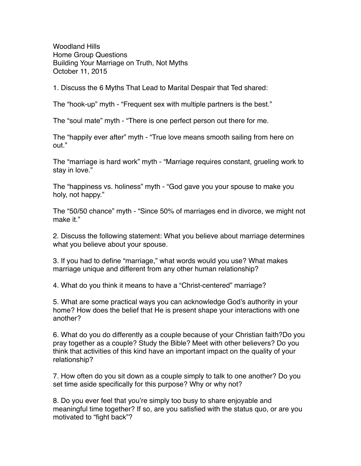Woodland Hills Home Group Questions Building Your Marriage on Truth, Not Myths October 11, 2015

1. Discuss the 6 Myths That Lead to Marital Despair that Ted shared:

The "hook-up" myth - "Frequent sex with multiple partners is the best."

The "soul mate" myth - "There is one perfect person out there for me.

The "happily ever after" myth - "True love means smooth sailing from here on out."

The "marriage is hard work" myth - "Marriage requires constant, grueling work to stay in love."

The "happiness vs. holiness" myth - "God gave you your spouse to make you holy, not happy."

The "50/50 chance" myth - "Since 50% of marriages end in divorce, we might not make it."

2. Discuss the following statement: What you believe about marriage determines what you believe about your spouse.

3. If you had to define "marriage," what words would you use? What makes marriage unique and different from any other human relationship?

4. What do you think it means to have a "Christ-centered" marriage?

5. What are some practical ways you can acknowledge God's authority in your home? How does the belief that He is present shape your interactions with one another?

6. What do you do differently as a couple because of your Christian faith?Do you pray together as a couple? Study the Bible? Meet with other believers? Do you think that activities of this kind have an important impact on the quality of your relationship?

7. How often do you sit down as a couple simply to talk to one another? Do you set time aside specifically for this purpose? Why or why not?

8. Do you ever feel that you're simply too busy to share enjoyable and meaningful time together? If so, are you satisfied with the status quo, or are you motivated to "fight back"?